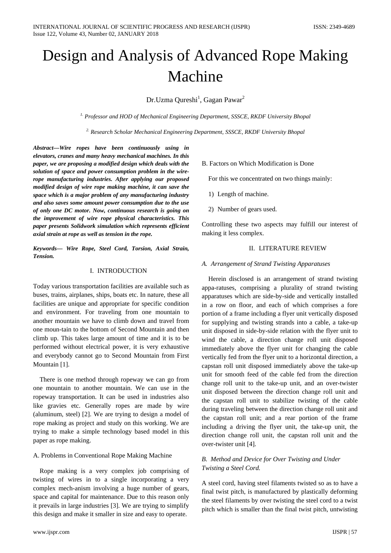# Design and Analysis of Advanced Rope Making Machine

Dr.Uzma Qureshi<sup>1</sup>, Gagan Pawar<sup>2</sup>

*1. Professor and HOD of Mechanical Engineering Department, SSSCE, RKDF University Bhopal*

*2. Research Scholar Mechanical Engineering Department, SSSCE, RKDF University Bhopal*

*Abstract—Wire ropes have been continuously using in elevators, cranes and many heavy mechanical machines. In this paper, we are proposing a modified design which deals with the solution of space and power consumption problem in the wirerope manufacturing industries. After applying our proposed modified design of wire rope making machine, it can save the space which is a major problem of any manufacturing industry and also saves some amount power consumption due to the use of only one DC motor. Now, continuous research is going on the improvement of wire rope physical characteristics. This paper presents Solidwork simulation which represents efficient axial strain at rope as well as tension in the rope.*

*Keywords— Wire Rope, Steel Cord, Torsion, Axial Strain, Tension.*

## I. INTRODUCTION

Today various transportation facilities are available such as buses, trains, airplanes, ships, boats etc. In nature, these all facilities are unique and appropriate for specific condition and environment. For traveling from one mountain to another mountain we have to climb down and travel from one moun-tain to the bottom of Second Mountain and then climb up. This takes large amount of time and it is to be performed without electrical power, it is very exhaustive and everybody cannot go to Second Mountain from First Mountain [1].

There is one method through ropeway we can go from one mountain to another mountain. We can use in the ropeway transportation. It can be used in industries also like gravies etc. Generally ropes are made by wire (aluminum, steel) [2]. We are trying to design a model of rope making as project and study on this working. We are trying to make a simple technology based model in this paper as rope making.

## A. Problems in Conventional Rope Making Machine

Rope making is a very complex job comprising of twisting of wires in to a single incorporating a very complex mech-anism involving a huge number of gears, space and capital for maintenance. Due to this reason only it prevails in large industries [3]. We are trying to simplify this design and make it smaller in size and easy to operate.

B. Factors on Which Modification is Done

For this we concentrated on two things mainly:

- 1) Length of machine.
- 2) Number of gears used.

Controlling these two aspects may fulfill our interest of making it less complex.

### II. LITERATURE REVIEW

### *A. Arrangement of Strand Twisting Apparatuses*

Herein disclosed is an arrangement of strand twisting appa-ratuses, comprising a plurality of strand twisting apparatuses which are side-by-side and vertically installed in a row on floor, and each of which comprises a fore portion of a frame including a flyer unit vertically disposed for supplying and twisting strands into a cable, a take-up unit disposed in side-by-side relation with the flyer unit to wind the cable, a direction change roll unit disposed immediately above the flyer unit for changing the cable vertically fed from the flyer unit to a horizontal direction, a capstan roll unit disposed immediately above the take-up unit for smooth feed of the cable fed from the direction change roll unit to the take-up unit, and an over-twister unit disposed between the direction change roll unit and the capstan roll unit to stabilize twisting of the cable during traveling between the direction change roll unit and the capstan roll unit; and a rear portion of the frame including a driving the flyer unit, the take-up unit, the direction change roll unit, the capstan roll unit and the over-twister unit [4].

# *B. Method and Device for Over Twisting and Under Twisting a Steel Cord.*

A steel cord, having steel filaments twisted so as to have a final twist pitch, is manufactured by plastically deforming the steel filaments by over twisting the steel cord to a twist pitch which is smaller than the final twist pitch, untwisting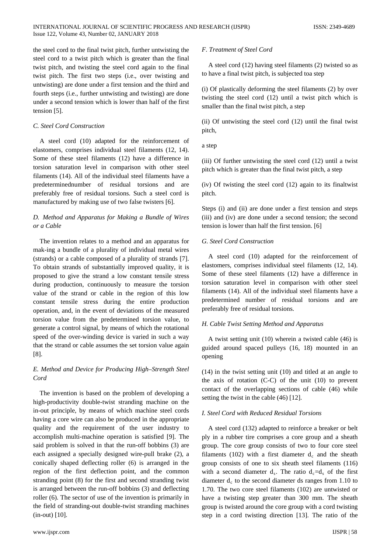#### INTERNATIONAL JOURNAL OF SCIENTIFIC PROGRESS AND RESEARCH (IJSPR) ISSN: 2349-4689 Issue 122, Volume 43, Number 02, JANUARY 2018

the steel cord to the final twist pitch, further untwisting the steel cord to a twist pitch which is greater than the final twist pitch, and twisting the steel cord again to the final twist pitch. The first two steps (i.e., over twisting and untwisting) are done under a first tension and the third and fourth steps (i.e., further untwisting and twisting) are done under a second tension which is lower than half of the first tension [5].

# *C. Steel Cord Construction*

A steel cord (10) adapted for the reinforcement of elastomers, comprises individual steel filaments (12, 14). Some of these steel filaments (12) have a difference in torsion saturation level in comparison with other steel filaments (14). All of the individual steel filaments have a predeterminednumber of residual torsions and are preferably free of residual torsions. Such a steel cord is manufactured by making use of two false twisters [6].

# *D. Method and Apparatus for Making a Bundle of Wires or a Cable*

The invention relates to a method and an apparatus for mak-ing a bundle of a plurality of individual metal wires (strands) or a cable composed of a plurality of strands [7]. To obtain strands of substantially improved quality, it is proposed to give the strand a low constant tensile stress during production, continuously to measure the torsion value of the strand or cable in the region of this low constant tensile stress during the entire production operation, and, in the event of deviations of the measured torsion value from the predetermined torsion value, to generate a control signal, by means of which the rotational speed of the over-winding device is varied in such a way that the strand or cable assumes the set torsion value again [8].

# *E. Method and Device for Producing High–Strength Steel Cord*

The invention is based on the problem of developing a high-productivity double-twist stranding machine on the in-out principle, by means of which machine steel cords having a core wire can also be produced in the appropriate quality and the requirement of the user industry to accomplish multi-machine operation is satisfied [9]. The said problem is solved in that the run-off bobbins (3) are each assigned a specially designed wire-pull brake (2), a conically shaped deflecting roller (6) is arranged in the region of the first deflection point, and the common stranding point (8) for the first and second stranding twist is arranged between the run-off bobbins (3) and deflecting roller (6). The sector of use of the invention is primarily in the field of stranding-out double-twist stranding machines (in-out) [10].

## *F. Treatment of Steel Cord*

A steel cord (12) having steel filaments (2) twisted so as to have a final twist pitch, is subjected toa step

(i) Of plastically deforming the steel filaments (2) by over twisting the steel cord (12) until a twist pitch which is smaller than the final twist pitch, a step

(ii) Of untwisting the steel cord (12) until the final twist pitch,

a step

(iii) Of further untwisting the steel cord (12) until a twist pitch which is greater than the final twist pitch, a step

(iv) Of twisting the steel cord (12) again to its finaltwist pitch.

Steps (i) and (ii) are done under a first tension and steps (iii) and (iv) are done under a second tension; the second tension is lower than half the first tension. [6]

## *G. Steel Cord Construction*

A steel cord (10) adapted for the reinforcement of elastomers, comprises individual steel filaments (12, 14). Some of these steel filaments (12) have a difference in torsion saturation level in comparison with other steel filaments (14). All of the individual steel filaments have a predetermined number of residual torsions and are preferably free of residual torsions.

### *H. Cable Twist Setting Method and Apparatus*

A twist setting unit (10) wherein a twisted cable (46) is guided around spaced pulleys (16, 18) mounted in an opening

(14) in the twist setting unit (10) and titled at an angle to the axis of rotation (C-C) of the unit (10) to prevent contact of the overlapping sections of cable (46) while setting the twist in the cable (46) [12].

# *I. Steel Cord with Reduced Residual Torsions*

A steel cord (132) adapted to reinforce a breaker or belt ply in a rubber tire comprises a core group and a sheath group. The core group consists of two to four core steel filaments (102) with a first diameter  $d_c$  and the sheath group consists of one to six sheath steel filaments (116) with a second diameter  $d_s$ . The ratio  $d_c = d_s$  of the first diameter  $d_c$  to the second diameter ds ranges from 1.10 to 1.70. The two core steel filaments (102) are untwisted or have a twisting step greater than 300 mm. The sheath group is twisted around the core group with a cord twisting step in a cord twisting direction [13]. The ratio of the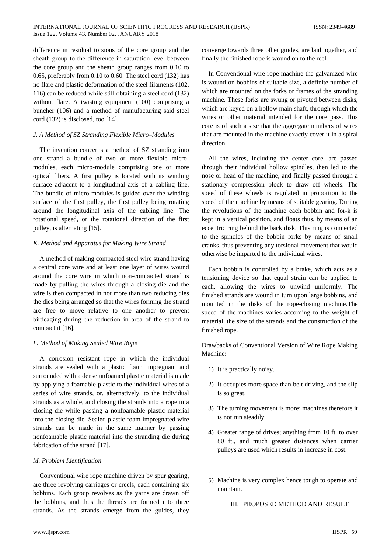difference in residual torsions of the core group and the sheath group to the difference in saturation level between the core group and the sheath group ranges from 0.10 to 0.65, preferably from 0.10 to 0.60. The steel cord (132) has no flare and plastic deformation of the steel filaments (102, 116) can be reduced while still obtaining a steel cord (132) without flare. A twisting equipment (100) comprising a buncher (106) and a method of manufacturing said steel cord (132) is disclosed, too [14].

## *J. A Method of SZ Stranding Flexible Micro–Modules*

The invention concerns a method of SZ stranding into one strand a bundle of two or more flexible micromodules, each micro-module comprising one or more optical fibers. A first pulley is located with its winding surface adjacent to a longitudinal axis of a cabling line. The bundle of micro-modules is guided over the winding surface of the first pulley, the first pulley being rotating around the longitudinal axis of the cabling line. The rotational speed, or the rotational direction of the first pulley, is alternating [15].

# *K. Method and Apparatus for Making Wire Strand*

A method of making compacted steel wire strand having a central core wire and at least one layer of wires wound around the core wire in which non-compacted strand is made by pulling the wires through a closing die and the wire is then compacted in not more than two reducing dies the dies being arranged so that the wires forming the strand are free to move relative to one another to prevent birdcaging during the reduction in area of the strand to compact it [16].

# *L. Method of Making Sealed Wire Rope*

A corrosion resistant rope in which the individual strands are sealed with a plastic foam impregnant and surrounded with a dense unfoamed plastic material is made by applying a foamable plastic to the individual wires of a series of wire strands, or, alternatively, to the individual strands as a whole, and closing the strands into a rope in a closing die while passing a nonfoamable plastic material into the closing die. Sealed plastic foam impregnated wire strands can be made in the same manner by passing nonfoamable plastic material into the stranding die during fabrication of the strand [17].

### *M. Problem Identification*

Conventional wire rope machine driven by spur gearing, are three revolving carriages or creels, each containing six bobbins. Each group revolves as the yarns are drawn off the bobbins, and thus the threads are formed into three strands. As the strands emerge from the guides, they

converge towards three other guides, are laid together, and finally the finished rope is wound on to the reel.

In Conventional wire rope machine the galvanized wire is wound on bobbins of suitable size, a definite number of which are mounted on the forks or frames of the stranding machine. These forks are swung or pivoted between disks, which are keyed on a hollow main shaft, through which the wires or other material intended for the core pass. This core is of such a size that the aggregate numbers of wires that are mounted in the machine exactly cover it in a spiral direction.

All the wires, including the center core, are passed through their individual hollow spindles, then led to the nose or head of the machine, and finally passed through a stationary compression block to draw off wheels. The speed of these wheels is regulated in proportion to the speed of the machine by means of suitable gearing. During the revolutions of the machine each bobbin and for-k is kept in a vertical position, and floats thus, by means of an eccentric ring behind the back disk. This ring is connected to the spindles of the bobbin forks by means of small cranks, thus preventing any torsional movement that would otherwise be imparted to the individual wires.

Each bobbin is controlled by a brake, which acts as a tensioning device so that equal strain can be applied to each, allowing the wires to unwind uniformly. The finished strands are wound in turn upon large bobbins, and mounted in the disks of the rope-closing machine.The speed of the machines varies according to the weight of material, the size of the strands and the construction of the finished rope.

Drawbacks of Conventional Version of Wire Rope Making Machine:

- 1) It is practically noisy.
- 2) It occupies more space than belt driving, and the slip is so great.
- 3) The turning movement is more; machines therefore it is not run steadily
- 4) Greater range of drives; anything from 10 ft. to over 80 ft., and much greater distances when carrier pulleys are used which results in increase in cost.
- 5) Machine is very complex hence tough to operate and maintain.

III. PROPOSED METHOD AND RESULT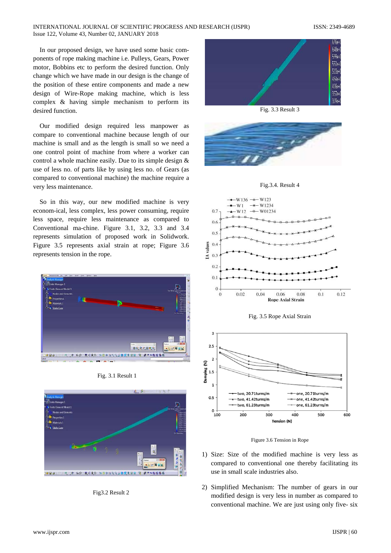### INTERNATIONAL JOURNAL OF SCIENTIFIC PROGRESS AND RESEARCH (IJSPR) ISSN: 2349-4689 Issue 122, Volume 43, Number 02, JANUARY 2018

In our proposed design, we have used some basic components of rope making machine i.e. Pulleys, Gears, Power motor, Bobbins etc to perform the desired function. Only change which we have made in our design is the change of the position of these entire components and made a new design of Wire-Rope making machine, which is less complex & having simple mechanism to perform its desired function.

Our modified design required less manpower as compare to conventional machine because length of our machine is small and as the length is small so we need a one control point of machine from where a worker can control a whole machine easily. Due to its simple design & use of less no. of parts like by using less no. of Gears (as compared to conventional machine) the machine require a very less maintenance.

So in this way, our new modified machine is very econom-ical, less complex, less power consuming, require less space, require less maintenance as compared to Conventional ma-chine. Figure 3.1, 3.2, 3.3 and 3.4 represents simulation of proposed work in Solidwork. Figure 3.5 represents axial strain at rope; Figure 3.6 represents tension in the rope.







Fig3.2 Result 2



Fig. 3.3 Result 3



Fig.3.4. Result 4







Figure 3.6 Tension in Rope

- 1) Size: Size of the modified machine is very less as compared to conventional one thereby facilitating its use in small scale industries also.
- 2) Simplified Mechanism: The number of gears in our modified design is very less in number as compared to conventional machine. We are just using only five- six